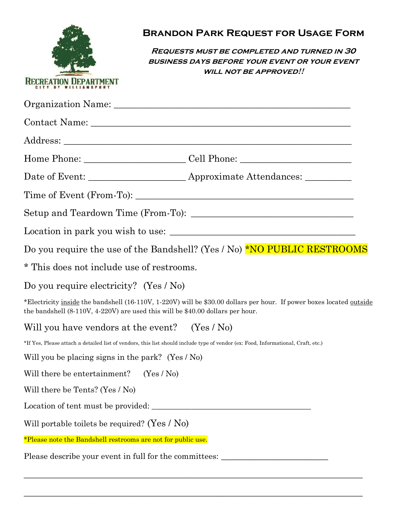

**Requests must be completed and turned in 30 business days before your event or your event will not be approved!!**

|                                                                                                                                   | Date of Event: _______________________ Approximate Attendances: __________                                           |
|-----------------------------------------------------------------------------------------------------------------------------------|----------------------------------------------------------------------------------------------------------------------|
|                                                                                                                                   |                                                                                                                      |
|                                                                                                                                   |                                                                                                                      |
|                                                                                                                                   |                                                                                                                      |
|                                                                                                                                   | Do you require the use of the Bandshell? (Yes / No) <b>*NO PUBLIC RESTROOMS</b>                                      |
| * This does not include use of restrooms.                                                                                         |                                                                                                                      |
| Do you require electricity? (Yes / No)                                                                                            |                                                                                                                      |
| the bandshell $(8-110V, 4-220V)$ are used this will be \$40.00 dollars per hour.                                                  | *Electricity inside the bandshell (16-110V, 1-220V) will be \$30.00 dollars per hour. If power boxes located outside |
| Will you have vendors at the event? $(Yes / No)$                                                                                  |                                                                                                                      |
| *If Yes, Please attach a detailed list of vendors, this list should include type of vendor (ex: Food, Informational, Craft, etc.) |                                                                                                                      |
| Will you be placing signs in the park? (Yes $\ell$ No)                                                                            |                                                                                                                      |
| Will there be entertainment? $(Yes / No)$                                                                                         |                                                                                                                      |
| Will there be Tents? (Yes / No)                                                                                                   |                                                                                                                      |
|                                                                                                                                   |                                                                                                                      |
| Will portable toilets be required? (Yes $/$ No)                                                                                   |                                                                                                                      |
| *Please note the Bandshell restrooms are not for public use.                                                                      |                                                                                                                      |
| Please describe your event in full for the committees:                                                                            |                                                                                                                      |

 $\_$  , and the set of the set of the set of the set of the set of the set of the set of the set of the set of the set of the set of the set of the set of the set of the set of the set of the set of the set of the set of th

\_\_\_\_\_\_\_\_\_\_\_\_\_\_\_\_\_\_\_\_\_\_\_\_\_\_\_\_\_\_\_\_\_\_\_\_\_\_\_\_\_\_\_\_\_\_\_\_\_\_\_\_\_\_\_\_\_\_\_\_\_\_\_\_\_\_\_\_\_\_\_\_\_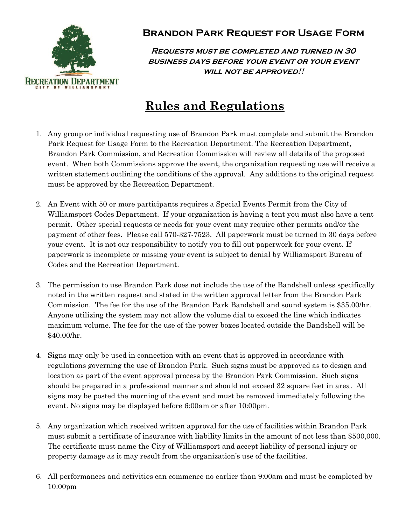

**Requests must be completed and turned in 30 business days before your event or your event will not be approved!!**

# **Rules and Regulations**

- 1. Any group or individual requesting use of Brandon Park must complete and submit the Brandon Park Request for Usage Form to the Recreation Department. The Recreation Department, Brandon Park Commission, and Recreation Commission will review all details of the proposed event. When both Commissions approve the event, the organization requesting use will receive a written statement outlining the conditions of the approval. Any additions to the original request must be approved by the Recreation Department.
- 2. An Event with 50 or more participants requires a Special Events Permit from the City of Williamsport Codes Department. If your organization is having a tent you must also have a tent permit. Other special requests or needs for your event may require other permits and/or the payment of other fees. Please call 570-327-7523. All paperwork must be turned in 30 days before your event. It is not our responsibility to notify you to fill out paperwork for your event. If paperwork is incomplete or missing your event is subject to denial by Williamsport Bureau of Codes and the Recreation Department.
- 3. The permission to use Brandon Park does not include the use of the Bandshell unless specifically noted in the written request and stated in the written approval letter from the Brandon Park Commission. The fee for the use of the Brandon Park Bandshell and sound system is \$35.00/hr. Anyone utilizing the system may not allow the volume dial to exceed the line which indicates maximum volume. The fee for the use of the power boxes located outside the Bandshell will be \$40.00/hr.
- 4. Signs may only be used in connection with an event that is approved in accordance with regulations governing the use of Brandon Park. Such signs must be approved as to design and location as part of the event approval process by the Brandon Park Commission. Such signs should be prepared in a professional manner and should not exceed 32 square feet in area. All signs may be posted the morning of the event and must be removed immediately following the event. No signs may be displayed before 6:00am or after 10:00pm.
- 5. Any organization which received written approval for the use of facilities within Brandon Park must submit a certificate of insurance with liability limits in the amount of not less than \$500,000. The certificate must name the City of Williamsport and accept liability of personal injury or property damage as it may result from the organization's use of the facilities.
- 6. All performances and activities can commence no earlier than 9:00am and must be completed by 10:00pm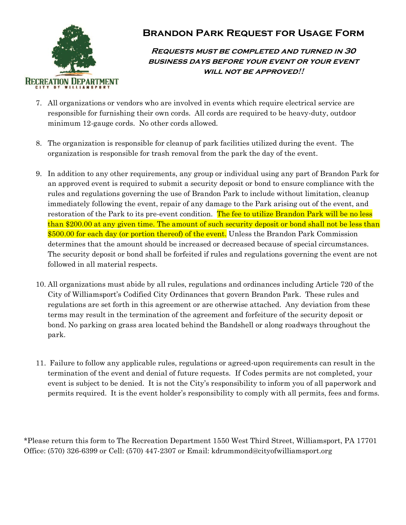

#### **Requests must be completed and turned in 30 business days before your event or your event will not be approved!!**

- 7. All organizations or vendors who are involved in events which require electrical service are responsible for furnishing their own cords. All cords are required to be heavy-duty, outdoor minimum 12-gauge cords. No other cords allowed.
- 8. The organization is responsible for cleanup of park facilities utilized during the event. The organization is responsible for trash removal from the park the day of the event.
- 9. In addition to any other requirements, any group or individual using any part of Brandon Park for an approved event is required to submit a security deposit or bond to ensure compliance with the rules and regulations governing the use of Brandon Park to include without limitation, cleanup immediately following the event, repair of any damage to the Park arising out of the event, and restoration of the Park to its pre-event condition. The fee to utilize Brandon Park will be no less than \$200.00 at any given time. The amount of such security deposit or bond shall not be less than \$500.00 for each day (or portion thereof) of the event. Unless the Brandon Park Commission determines that the amount should be increased or decreased because of special circumstances. The security deposit or bond shall be forfeited if rules and regulations governing the event are not followed in all material respects.
- 10. All organizations must abide by all rules, regulations and ordinances including Article 720 of the City of Williamsport's Codified City Ordinances that govern Brandon Park. These rules and regulations are set forth in this agreement or are otherwise attached. Any deviation from these terms may result in the termination of the agreement and forfeiture of the security deposit or bond. No parking on grass area located behind the Bandshell or along roadways throughout the park.
- 11. Failure to follow any applicable rules, regulations or agreed-upon requirements can result in the termination of the event and denial of future requests. If Codes permits are not completed, your event is subject to be denied. It is not the City's responsibility to inform you of all paperwork and permits required. It is the event holder's responsibility to comply with all permits, fees and forms.

\*Please return this form to The Recreation Department 1550 West Third Street, Williamsport, PA 17701 Office: (570) 326-6399 or Cell: (570) 447-2307 or Email: kdrummond@cityofwilliamsport.org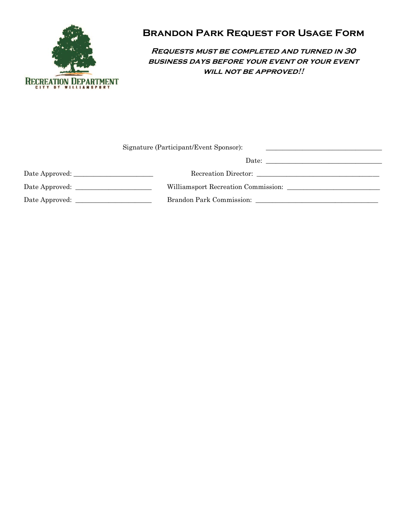

**Requests must be completed and turned in 30 business days before your event or your event will not be approved!!**

| Signature (Participant/Event Sponsor):<br>the control of the control of the control of the control of the control of the control of the control of the control of the control of the control of the control of the control of the control of the control of the control |  |
|-------------------------------------------------------------------------------------------------------------------------------------------------------------------------------------------------------------------------------------------------------------------------|--|
|                                                                                                                                                                                                                                                                         |  |
| Date Approved: __________________________                                                                                                                                                                                                                               |  |
|                                                                                                                                                                                                                                                                         |  |
| Date Approved:                                                                                                                                                                                                                                                          |  |